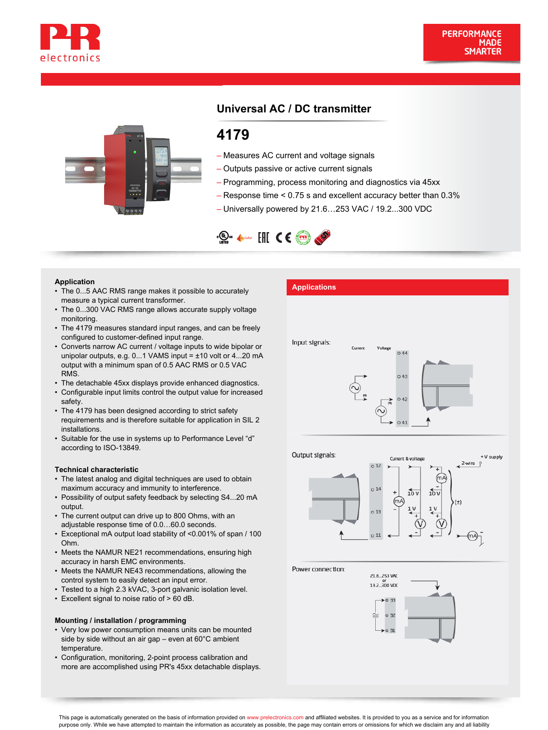



# **Universal AC / DC transmitter**

# **4179**

- Measures AC current and voltage signals
- Outputs passive or active current signals
- Programming, process monitoring and diagnostics via 45xx
- Response time < 0.75 s and excellent accuracy better than 0.3%
- Universally powered by 21.6…253 VAC / 19.2...300 VDC



- **Application**<br>• The 0...5 AAC RMS range makes it possible to accurately **Applications** measure a typical current transformer.
- The 0...300 VAC RMS range allows accurate supply voltage monitoring.
- The 4179 measures standard input ranges, and can be freely configured to customer-defined input range.
- Converts narrow AC current / voltage inputs to wide bipolar or unipolar outputs, e.g. 0...1 VAMS input = ±10 volt or 4...20 mA output with a minimum span of 0.5 AAC RMS or 0.5 VAC RMS.
- The detachable 45xx displays provide enhanced diagnostics.
- Configurable input limits control the output value for increased safety
- The 4179 has been designed according to strict safety requirements and is therefore suitable for application in SIL 2 installations.
- Suitable for the use in systems up to Performance Level "d" according to ISO-13849.

#### **Technical characteristic**

- The latest analog and digital techniques are used to obtain maximum accuracy and immunity to interference.
- Possibility of output safety feedback by selecting S4...20 mA output.
- The current output can drive up to 800 Ohms, with an adjustable response time of 0.0…60.0 seconds.
- Exceptional mA output load stability of <0.001% of span / 100 Ohm. •
- Meets the NAMUR NE21 recommendations, ensuring high accuracy in harsh EMC environments. •
- Meets the NAMUR NE43 recommendations, allowing the control system to easily detect an input error.
- Tested to a high 2.3 kVAC, 3-port galvanic isolation level.
- Excellent signal to noise ratio of > 60 dB.

# **Mounting / installation / programming**

- Very low power consumption means units can be mounted side by side without an air gap – even at 60°C ambient temperature.
- Configuration, monitoring, 2-point process calibration and more are accomplished using PR's 45xx detachable displays.





Power connection:



This page is automatically generated on the basis of information provided on www.prelectronics.com and affiliated websites. It is provided to you as a service and for information purpose only. While we have attempted to maintain the information as accurately as possible, the page may contain errors or omissions for which we disclaim any and all liability